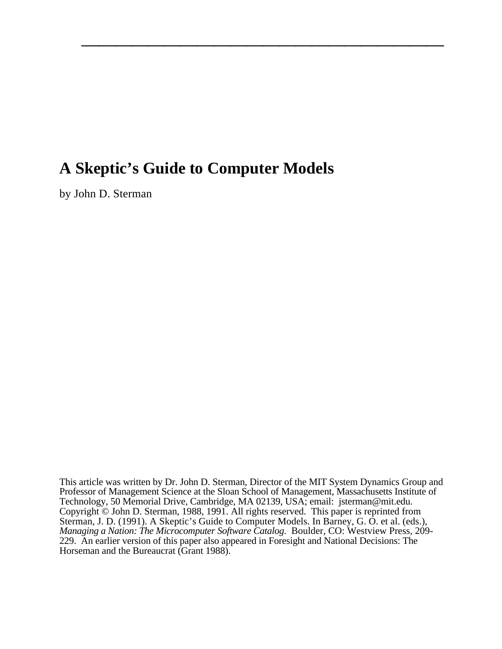# **A Skeptic's Guide to Computer Models**

by John D. Sterman

This article was written by Dr. John D. Sterman, Director of the MIT System Dynamics Group and Professor of Management Science at the Sloan School of Management, Massachusetts Institute of Technology, 50 Memorial Drive, Cambridge, MA 02139, USA; email: jsterman@mit.edu. Copyright © John D. Sterman, 1988, 1991. All rights reserved. This paper is reprinted from Sterman, J. D. (1991). A Skeptic's Guide to Computer Models. In Barney, G. O. et al. (eds.), *Managing a Nation: The Microcomputer Software Catalog*. Boulder, CO: Westview Press, 209- 229. An earlier version of this paper also appeared in Foresight and National Decisions: The Horseman and the Bureaucrat (Grant 1988).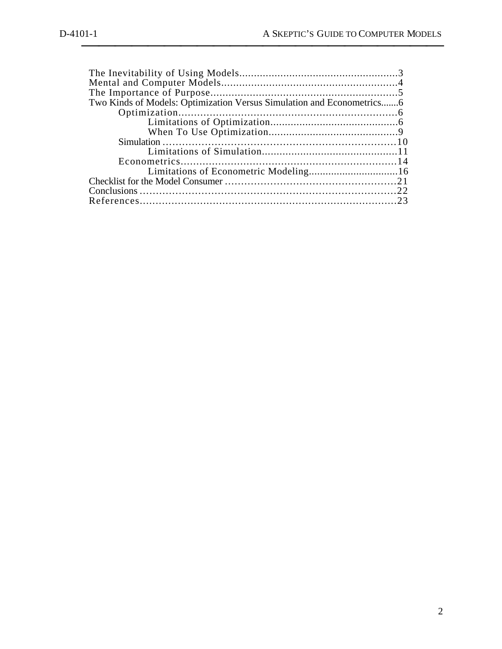| Two Kinds of Models: Optimization Versus Simulation and Econometrics6 |  |
|-----------------------------------------------------------------------|--|
|                                                                       |  |
|                                                                       |  |
|                                                                       |  |
|                                                                       |  |
|                                                                       |  |
|                                                                       |  |
|                                                                       |  |
|                                                                       |  |
|                                                                       |  |
|                                                                       |  |
|                                                                       |  |
|                                                                       |  |
|                                                                       |  |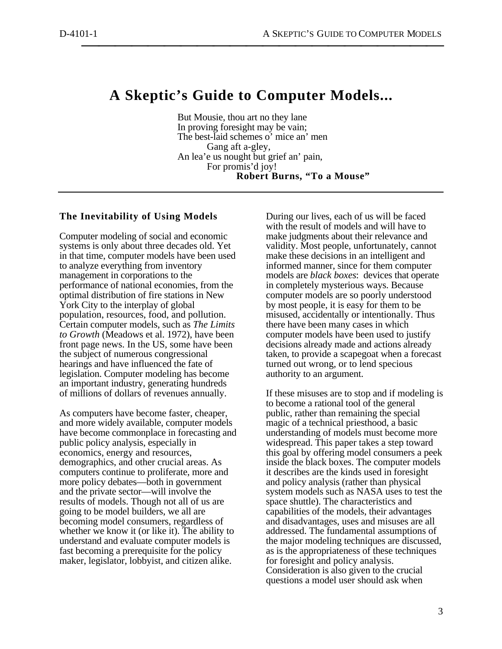# **A Skeptic's Guide to Computer Models...**

But Mousie, thou art no they lane In proving foresight may be vain; The best-laid schemes o' mice an' men Gang aft a-gley, An lea'e us nought but grief an' pain, For promis'd joy! **Robert Burns, "To a Mouse"**

# **The Inevitability of Using Models**

Computer modeling of social and economic systems is only about three decades old. Yet in that time, computer models have been used to analyze everything from inventory management in corporations to the performance of national economies, from the optimal distribution of fire stations in New York City to the interplay of global population, resources, food, and pollution. Certain computer models, such as *The Limits to Growth* (Meadows et al. 1972), have been front page news. In the US, some have been the subject of numerous congressional hearings and have influenced the fate of legislation. Computer modeling has become an important industry, generating hundreds of millions of dollars of revenues annually.

As computers have become faster, cheaper, and more widely available, computer models have become commonplace in forecasting and public policy analysis, especially in economics, energy and resources, demographics, and other crucial areas. As computers continue to proliferate, more and more policy debates—both in government and the private sector—will involve the results of models. Though not all of us are going to be model builders, we all are becoming model consumers, regardless of whether we know it (or like it). The ability to understand and evaluate computer models is fast becoming a prerequisite for the policy maker, legislator, lobbyist, and citizen alike.

During our lives, each of us will be faced with the result of models and will have to make judgments about their relevance and validity. Most people, unfortunately, cannot make these decisions in an intelligent and informed manner, since for them computer models are *black boxes*: devices that operate in completely mysterious ways. Because computer models are so poorly understood by most people, it is easy for them to be misused, accidentally or intentionally. Thus there have been many cases in which computer models have been used to justify decisions already made and actions already taken, to provide a scapegoat when a forecast turned out wrong, or to lend specious authority to an argument.

If these misuses are to stop and if modeling is to become a rational tool of the general public, rather than remaining the special magic of a technical priesthood, a basic understanding of models must become more widespread. This paper takes a step toward this goal by offering model consumers a peek inside the black boxes. The computer models it describes are the kinds used in foresight and policy analysis (rather than physical system models such as NASA uses to test the space shuttle). The characteristics and capabilities of the models, their advantages and disadvantages, uses and misuses are all addressed. The fundamental assumptions of the major modeling techniques are discussed, as is the appropriateness of these techniques for foresight and policy analysis. Consideration is also given to the crucial questions a model user should ask when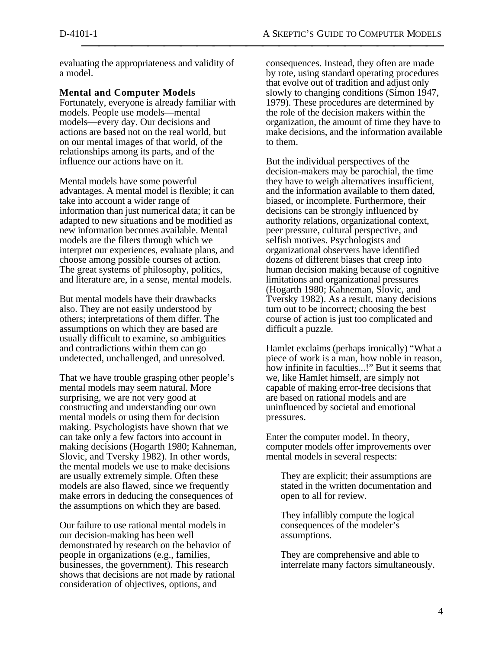evaluating the appropriateness and validity of a model.

# **Mental and Computer Models**

Fortunately, everyone is already familiar with models. People use models—mental models—every day. Our decisions and actions are based not on the real world, but on our mental images of that world, of the relationships among its parts, and of the influence our actions have on it.

Mental models have some powerful advantages. A mental model is flexible; it can take into account a wider range of information than just numerical data; it can be adapted to new situations and be modified as new information becomes available. Mental models are the filters through which we interpret our experiences, evaluate plans, and choose among possible courses of action. The great systems of philosophy, politics, and literature are, in a sense, mental models.

But mental models have their drawbacks also. They are not easily understood by others; interpretations of them differ. The assumptions on which they are based are usually difficult to examine, so ambiguities and contradictions within them can go undetected, unchallenged, and unresolved.

That we have trouble grasping other people's mental models may seem natural. More surprising, we are not very good at constructing and understanding our own mental models or using them for decision making. Psychologists have shown that we can take only a few factors into account in making decisions (Hogarth 1980; Kahneman, Slovic, and Tversky 1982). In other words, the mental models we use to make decisions are usually extremely simple. Often these models are also flawed, since we frequently make errors in deducing the consequences of the assumptions on which they are based.

Our failure to use rational mental models in our decision-making has been well demonstrated by research on the behavior of people in organizations (e.g., families, businesses, the government). This research shows that decisions are not made by rational consideration of objectives, options, and

consequences. Instead, they often are made by rote, using standard operating procedures that evolve out of tradition and adjust only slowly to changing conditions (Simon 1947, 1979). These procedures are determined by the role of the decision makers within the organization, the amount of time they have to make decisions, and the information available to them.

But the individual perspectives of the decision-makers may be parochial, the time they have to weigh alternatives insufficient, and the information available to them dated, biased, or incomplete. Furthermore, their decisions can be strongly influenced by authority relations, organizational context, peer pressure, cultural perspective, and selfish motives. Psychologists and organizational observers have identified dozens of different biases that creep into human decision making because of cognitive limitations and organizational pressures (Hogarth 1980; Kahneman, Slovic, and Tversky 1982). As a result, many decisions turn out to be incorrect; choosing the best course of action is just too complicated and difficult a puzzle.

Hamlet exclaims (perhaps ironically) "What a piece of work is a man, how noble in reason, how infinite in faculties...!" But it seems that we, like Hamlet himself, are simply not capable of making error-free decisions that are based on rational models and are uninfluenced by societal and emotional pressures.

Enter the computer model. In theory, computer models offer improvements over mental models in several respects:

They are explicit; their assumptions are stated in the written documentation and open to all for review.

They infallibly compute the logical consequences of the modeler's assumptions.

They are comprehensive and able to interrelate many factors simultaneously.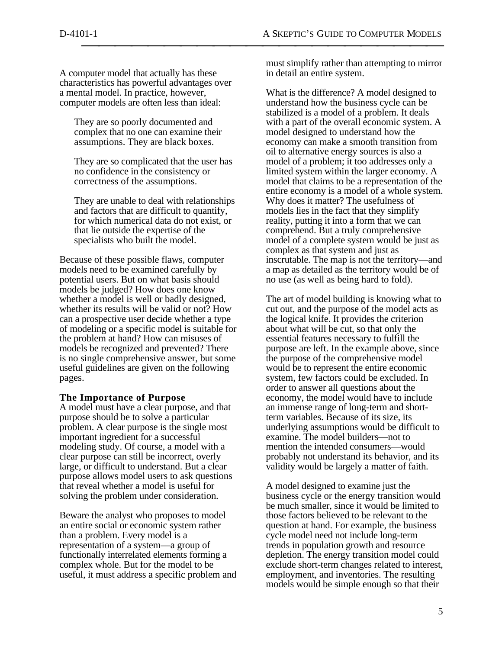A computer model that actually has these characteristics has powerful advantages over a mental model. In practice, however, computer models are often less than ideal:

They are so poorly documented and complex that no one can examine their assumptions. They are black boxes.

They are so complicated that the user has no confidence in the consistency or correctness of the assumptions.

They are unable to deal with relationships and factors that are difficult to quantify, for which numerical data do not exist, or that lie outside the expertise of the specialists who built the model.

Because of these possible flaws, computer models need to be examined carefully by potential users. But on what basis should models be judged? How does one know whether a model is well or badly designed, whether its results will be valid or not? How can a prospective user decide whether a type of modeling or a specific model is suitable for the problem at hand? How can misuses of models be recognized and prevented? There is no single comprehensive answer, but some useful guidelines are given on the following pages.

## **The Importance of Purpose**

A model must have a clear purpose, and that purpose should be to solve a particular problem. A clear purpose is the single most important ingredient for a successful modeling study. Of course, a model with a clear purpose can still be incorrect, overly large, or difficult to understand. But a clear purpose allows model users to ask questions that reveal whether a model is useful for solving the problem under consideration.

Beware the analyst who proposes to model an entire social or economic system rather than a problem. Every model is a representation of a system—a group of functionally interrelated elements forming a complex whole. But for the model to be useful, it must address a specific problem and must simplify rather than attempting to mirror in detail an entire system.

What is the difference? A model designed to understand how the business cycle can be stabilized is a model of a problem. It deals with a part of the overall economic system. A model designed to understand how the economy can make a smooth transition from oil to alternative energy sources is also a model of a problem; it too addresses only a limited system within the larger economy. A model that claims to be a representation of the entire economy is a model of a whole system. Why does it matter? The usefulness of models lies in the fact that they simplify reality, putting it into a form that we can comprehend. But a truly comprehensive model of a complete system would be just as complex as that system and just as inscrutable. The map is not the territory—and a map as detailed as the territory would be of no use (as well as being hard to fold).

The art of model building is knowing what to cut out, and the purpose of the model acts as the logical knife. It provides the criterion about what will be cut, so that only the essential features necessary to fulfill the purpose are left. In the example above, since the purpose of the comprehensive model would be to represent the entire economic system, few factors could be excluded. In order to answer all questions about the economy, the model would have to include an immense range of long-term and shortterm variables. Because of its size, its underlying assumptions would be difficult to examine. The model builders—not to mention the intended consumers—would probably not understand its behavior, and its validity would be largely a matter of faith.

A model designed to examine just the business cycle or the energy transition would be much smaller, since it would be limited to those factors believed to be relevant to the question at hand. For example, the business cycle model need not include long-term trends in population growth and resource depletion. The energy transition model could exclude short-term changes related to interest, employment, and inventories. The resulting models would be simple enough so that their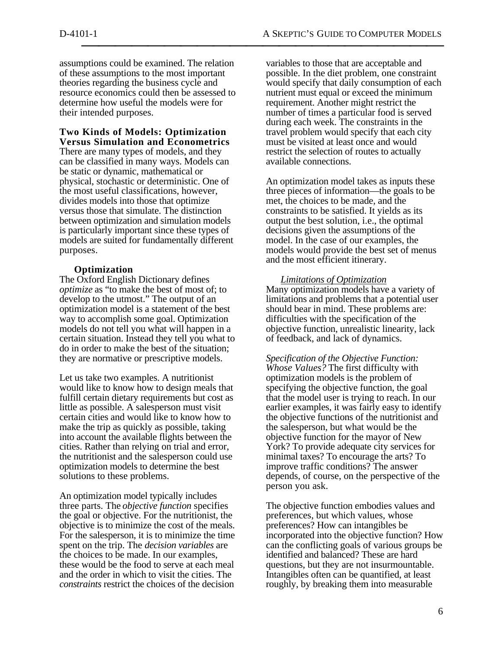assumptions could be examined. The relation of these assumptions to the most important theories regarding the business cycle and resource economics could then be assessed to determine how useful the models were for their intended purposes.

#### **Two Kinds of Models: Optimization Versus Simulation and Econometrics**

There are many types of models, and they can be classified in many ways. Models can be static or dynamic, mathematical or physical, stochastic or deterministic. One of the most useful classifications, however, divides models into those that optimize versus those that simulate. The distinction between optimization and simulation models is particularly important since these types of models are suited for fundamentally different purposes.

# **Optimization**

The Oxford English Dictionary defines *optimize* as "to make the best of most of; to develop to the utmost." The output of an optimization model is a statement of the best way to accomplish some goal. Optimization models do not tell you what will happen in a certain situation. Instead they tell you what to do in order to make the best of the situation; they are normative or prescriptive models.

Let us take two examples. A nutritionist would like to know how to design meals that fulfill certain dietary requirements but cost as little as possible. A salesperson must visit certain cities and would like to know how to make the trip as quickly as possible, taking into account the available flights between the cities. Rather than relying on trial and error, the nutritionist and the salesperson could use optimization models to determine the best solutions to these problems.

An optimization model typically includes three parts. The *objective function* specifies the goal or objective. For the nutritionist, the objective is to minimize the cost of the meals. For the salesperson, it is to minimize the time spent on the trip. The *decision variables* are the choices to be made. In our examples, these would be the food to serve at each meal and the order in which to visit the cities. The *constraints* restrict the choices of the decision

variables to those that are acceptable and possible. In the diet problem, one constraint would specify that daily consumption of each nutrient must equal or exceed the minimum requirement. Another might restrict the number of times a particular food is served during each week. The constraints in the travel problem would specify that each city must be visited at least once and would restrict the selection of routes to actually available connections.

An optimization model takes as inputs these three pieces of information—the goals to be met, the choices to be made, and the constraints to be satisfied. It yields as its output the best solution, i.e., the optimal decisions given the assumptions of the model. In the case of our examples, the models would provide the best set of menus and the most efficient itinerary.

 *Limitations of Optimization*  Many optimization models have a variety of limitations and problems that a potential user should bear in mind. These problems are: difficulties with the specification of the objective function, unrealistic linearity, lack of feedback, and lack of dynamics.

*Specification of the Objective Function: Whose Values?* The first difficulty with optimization models is the problem of specifying the objective function, the goal that the model user is trying to reach. In our earlier examples, it was fairly easy to identify the objective functions of the nutritionist and the salesperson, but what would be the objective function for the mayor of New York? To provide adequate city services for minimal taxes? To encourage the arts? To improve traffic conditions? The answer depends, of course, on the perspective of the person you ask.

The objective function embodies values and preferences, but which values, whose preferences? How can intangibles be incorporated into the objective function? How can the conflicting goals of various groups be identified and balanced? These are hard questions, but they are not insurmountable. Intangibles often can be quantified, at least roughly, by breaking them into measurable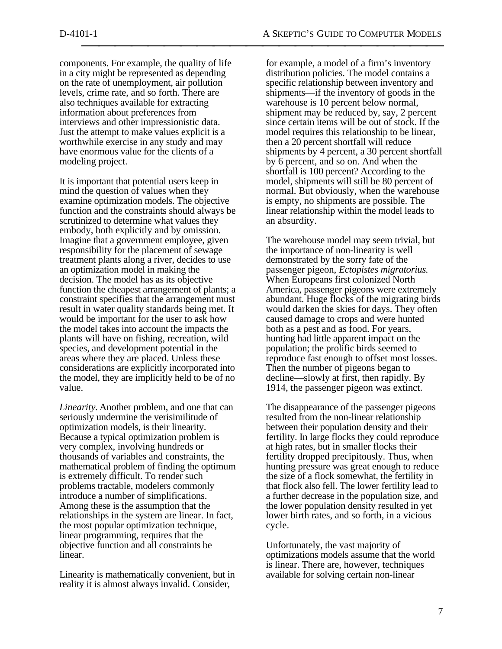components. For example, the quality of life in a city might be represented as depending on the rate of unemployment, air pollution levels, crime rate, and so forth. There are also techniques available for extracting information about preferences from interviews and other impressionistic data. Just the attempt to make values explicit is a worthwhile exercise in any study and may have enormous value for the clients of a modeling project.

It is important that potential users keep in mind the question of values when they examine optimization models. The objective function and the constraints should always be scrutinized to determine what values they embody, both explicitly and by omission. Imagine that a government employee, given responsibility for the placement of sewage treatment plants along a river, decides to use an optimization model in making the decision. The model has as its objective function the cheapest arrangement of plants; a constraint specifies that the arrangement must result in water quality standards being met. It would be important for the user to ask how the model takes into account the impacts the plants will have on fishing, recreation, wild species, and development potential in the areas where they are placed. Unless these considerations are explicitly incorporated into the model, they are implicitly held to be of no value.

*Linearity.* Another problem, and one that can seriously undermine the verisimilitude of optimization models, is their linearity. Because a typical optimization problem is very complex, involving hundreds or thousands of variables and constraints, the mathematical problem of finding the optimum is extremely difficult. To render such problems tractable, modelers commonly introduce a number of simplifications. Among these is the assumption that the relationships in the system are linear. In fact, the most popular optimization technique, linear programming, requires that the objective function and all constraints be linear.

Linearity is mathematically convenient, but in reality it is almost always invalid. Consider,

for example, a model of a firm's inventory distribution policies. The model contains a specific relationship between inventory and shipments—if the inventory of goods in the warehouse is 10 percent below normal, shipment may be reduced by, say, 2 percent since certain items will be out of stock. If the model requires this relationship to be linear, then a 20 percent shortfall will reduce shipments by 4 percent, a 30 percent shortfall by 6 percent, and so on. And when the shortfall is 100 percent? According to the model, shipments will still be 80 percent of normal. But obviously, when the warehouse is empty, no shipments are possible. The linear relationship within the model leads to an absurdity.

The warehouse model may seem trivial, but the importance of non-linearity is well demonstrated by the sorry fate of the passenger pigeon, *Ectopistes migratorius.* When Europeans first colonized North America, passenger pigeons were extremely abundant. Huge flocks of the migrating birds would darken the skies for days. They often caused damage to crops and were hunted both as a pest and as food. For years, hunting had little apparent impact on the population; the prolific birds seemed to reproduce fast enough to offset most losses. Then the number of pigeons began to decline—slowly at first, then rapidly. By 1914, the passenger pigeon was extinct.

The disappearance of the passenger pigeons resulted from the non-linear relationship between their population density and their fertility. In large flocks they could reproduce at high rates, but in smaller flocks their fertility dropped precipitously. Thus, when hunting pressure was great enough to reduce the size of a flock somewhat, the fertility in that flock also fell. The lower fertility lead to a further decrease in the population size, and the lower population density resulted in yet lower birth rates, and so forth, in a vicious cycle.

Unfortunately, the vast majority of optimizations models assume that the world is linear. There are, however, techniques available for solving certain non-linear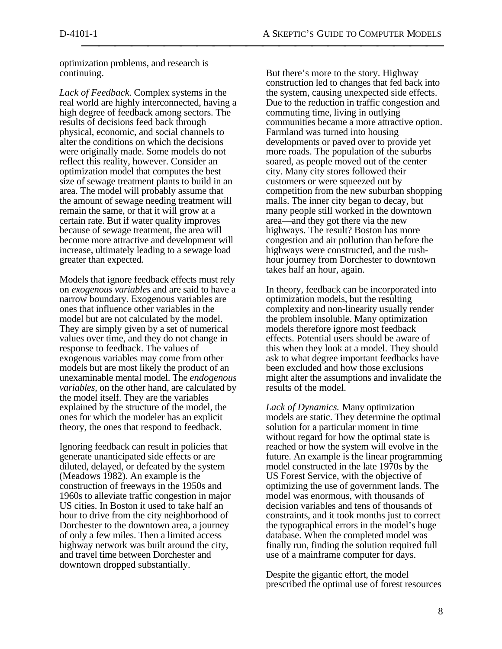optimization problems, and research is continuing.

*Lack of Feedback.* Complex systems in the real world are highly interconnected, having a high degree of feedback among sectors. The results of decisions feed back through physical, economic, and social channels to alter the conditions on which the decisions were originally made. Some models do not reflect this reality, however. Consider an optimization model that computes the best size of sewage treatment plants to build in an area. The model will probably assume that the amount of sewage needing treatment will remain the same, or that it will grow at a certain rate. But if water quality improves because of sewage treatment, the area will become more attractive and development will increase, ultimately leading to a sewage load greater than expected.

Models that ignore feedback effects must rely on *exogenous variables* and are said to have a narrow boundary. Exogenous variables are ones that influence other variables in the model but are not calculated by the model. They are simply given by a set of numerical values over time, and they do not change in response to feedback. The values of exogenous variables may come from other models but are most likely the product of an unexaminable mental model. The *endogenous variables,* on the other hand, are calculated by the model itself. They are the variables explained by the structure of the model, the ones for which the modeler has an explicit theory, the ones that respond to feedback.

Ignoring feedback can result in policies that generate unanticipated side effects or are diluted, delayed, or defeated by the system (Meadows 1982). An example is the construction of freeways in the 1950s and 1960s to alleviate traffic congestion in major US cities. In Boston it used to take half an hour to drive from the city neighborhood of Dorchester to the downtown area, a journey of only a few miles. Then a limited access highway network was built around the city, and travel time between Dorchester and downtown dropped substantially.

But there's more to the story. Highway construction led to changes that fed back into the system, causing unexpected side effects. Due to the reduction in traffic congestion and commuting time, living in outlying communities became a more attractive option. Farmland was turned into housing developments or paved over to provide yet more roads. The population of the suburbs soared, as people moved out of the center city. Many city stores followed their customers or were squeezed out by competition from the new suburban shopping malls. The inner city began to decay, but many people still worked in the downtown area—and they got there via the new highways. The result? Boston has more congestion and air pollution than before the highways were constructed, and the rushhour journey from Dorchester to downtown takes half an hour, again.

In theory, feedback can be incorporated into optimization models, but the resulting complexity and non-linearity usually render the problem insoluble. Many optimization models therefore ignore most feedback effects. Potential users should be aware of this when they look at a model. They should ask to what degree important feedbacks have been excluded and how those exclusions might alter the assumptions and invalidate the results of the model.

*Lack of Dynamics.* Many optimization models are static. They determine the optimal solution for a particular moment in time without regard for how the optimal state is reached or how the system will evolve in the future. An example is the linear programming model constructed in the late 1970s by the US Forest Service, with the objective of optimizing the use of government lands. The model was enormous, with thousands of decision variables and tens of thousands of constraints, and it took months just to correct the typographical errors in the model's huge database. When the completed model was finally run, finding the solution required full use of a mainframe computer for days.

Despite the gigantic effort, the model prescribed the optimal use of forest resources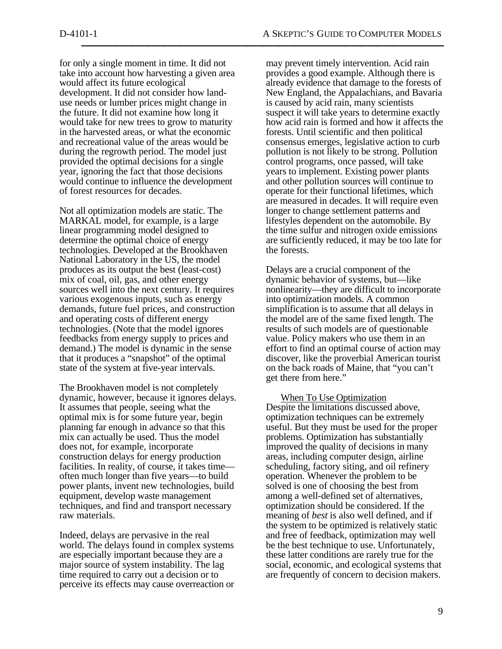for only a single moment in time. It did not take into account how harvesting a given area would affect its future ecological development. It did not consider how landuse needs or lumber prices might change in the future. It did not examine how long it would take for new trees to grow to maturity in the harvested areas, or what the economic and recreational value of the areas would be during the regrowth period. The model just provided the optimal decisions for a single year, ignoring the fact that those decisions would continue to influence the development of forest resources for decades.

Not all optimization models are static. The MARKAL model, for example, is a large linear programming model designed to determine the optimal choice of energy technologies. Developed at the Brookhaven National Laboratory in the US, the model produces as its output the best (least-cost) mix of coal, oil, gas, and other energy sources well into the next century. It requires various exogenous inputs, such as energy demands, future fuel prices, and construction and operating costs of different energy technologies. (Note that the model ignores feedbacks from energy supply to prices and demand.) The model is dynamic in the sense that it produces a "snapshot" of the optimal state of the system at five-year intervals.

The Brookhaven model is not completely dynamic, however, because it ignores delays. It assumes that people, seeing what the optimal mix is for some future year, begin planning far enough in advance so that this mix can actually be used. Thus the model does not, for example, incorporate construction delays for energy production facilities. In reality, of course, it takes time often much longer than five years—to build power plants, invent new technologies, build equipment, develop waste management techniques, and find and transport necessary raw materials.

Indeed, delays are pervasive in the real world. The delays found in complex systems are especially important because they are a major source of system instability. The lag time required to carry out a decision or to perceive its effects may cause overreaction or may prevent timely intervention. Acid rain provides a good example. Although there is already evidence that damage to the forests of New England, the Appalachians, and Bavaria is caused by acid rain, many scientists suspect it will take years to determine exactly how acid rain is formed and how it affects the forests. Until scientific and then political consensus emerges, legislative action to curb pollution is not likely to be strong. Pollution control programs, once passed, will take years to implement. Existing power plants and other pollution sources will continue to operate for their functional lifetimes, which are measured in decades. It will require even longer to change settlement patterns and lifestyles dependent on the automobile. By the time sulfur and nitrogen oxide emissions are sufficiently reduced, it may be too late for the forests.

Delays are a crucial component of the dynamic behavior of systems, but—like nonlinearity—they are difficult to incorporate into optimization models. A common simplification is to assume that all delays in the model are of the same fixed length. The results of such models are of questionable value. Policy makers who use them in an effort to find an optimal course of action may discover, like the proverbial American tourist on the back roads of Maine, that "you can't get there from here."

 When To Use Optimization Despite the limitations discussed above, optimization techniques can be extremely useful. But they must be used for the proper problems. Optimization has substantially improved the quality of decisions in many areas, including computer design, airline scheduling, factory siting, and oil refinery operation. Whenever the problem to be solved is one of choosing the best from among a well-defined set of alternatives, optimization should be considered. If the meaning of *best* is also well defined, and if the system to be optimized is relatively static and free of feedback, optimization may well be the best technique to use. Unfortunately, these latter conditions are rarely true for the social, economic, and ecological systems that are frequently of concern to decision makers.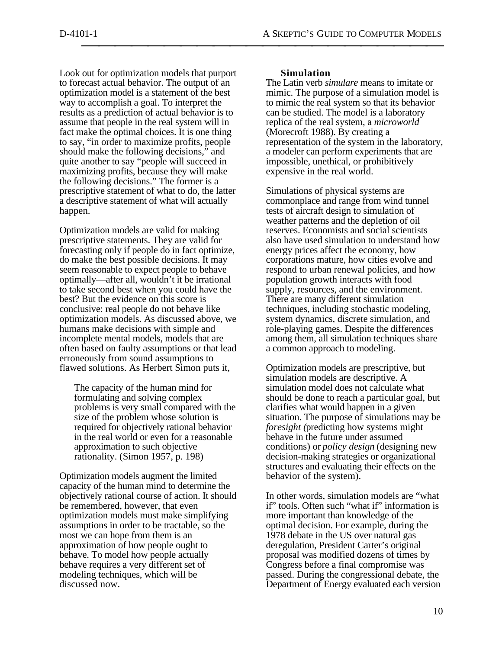Look out for optimization models that purport to forecast actual behavior. The output of an optimization model is a statement of the best way to accomplish a goal. To interpret the results as a prediction of actual behavior is to assume that people in the real system will in fact make the optimal choices. It is one thing to say, "in order to maximize profits, people should make the following decisions," and quite another to say "people will succeed in maximizing profits, because they will make the following decisions." The former is a prescriptive statement of what to do, the latter a descriptive statement of what will actually happen.

Optimization models are valid for making prescriptive statements. They are valid for forecasting only if people do in fact optimize, do make the best possible decisions. It may seem reasonable to expect people to behave optimally—after all, wouldn't it be irrational to take second best when you could have the best? But the evidence on this score is conclusive: real people do not behave like optimization models. As discussed above, we humans make decisions with simple and incomplete mental models, models that are often based on faulty assumptions or that lead erroneously from sound assumptions to flawed solutions. As Herbert Simon puts it,

The capacity of the human mind for formulating and solving complex problems is very small compared with the size of the problem whose solution is required for objectively rational behavior in the real world or even for a reasonable approximation to such objective rationality. (Simon 1957, p. 198)

Optimization models augment the limited capacity of the human mind to determine the objectively rational course of action. It should be remembered, however, that even optimization models must make simplifying assumptions in order to be tractable, so the most we can hope from them is an approximation of how people ought to behave. To model how people actually behave requires a very different set of modeling techniques, which will be discussed now.

## **Simulation**

The Latin verb *simulare* means to imitate or mimic. The purpose of a simulation model is to mimic the real system so that its behavior can be studied. The model is a laboratory replica of the real system, a *microworld* (Morecroft 1988). By creating a representation of the system in the laboratory, a modeler can perform experiments that are impossible, unethical, or prohibitively expensive in the real world.

Simulations of physical systems are commonplace and range from wind tunnel tests of aircraft design to simulation of weather patterns and the depletion of oil reserves. Economists and social scientists also have used simulation to understand how energy prices affect the economy, how corporations mature, how cities evolve and respond to urban renewal policies, and how population growth interacts with food supply, resources, and the environment. There are many different simulation techniques, including stochastic modeling, system dynamics, discrete simulation, and role-playing games. Despite the differences among them, all simulation techniques share a common approach to modeling.

Optimization models are prescriptive, but simulation models are descriptive. A simulation model does not calculate what should be done to reach a particular goal, but clarifies what would happen in a given situation. The purpose of simulations may be *foresight (*predicting how systems might behave in the future under assumed conditions) or *policy design* (designing new decision-making strategies or organizational structures and evaluating their effects on the behavior of the system).

In other words, simulation models are "what if" tools. Often such "what if" information is more important than knowledge of the optimal decision. For example, during the 1978 debate in the US over natural gas deregulation, President Carter's original proposal was modified dozens of times by Congress before a final compromise was passed. During the congressional debate, the Department of Energy evaluated each version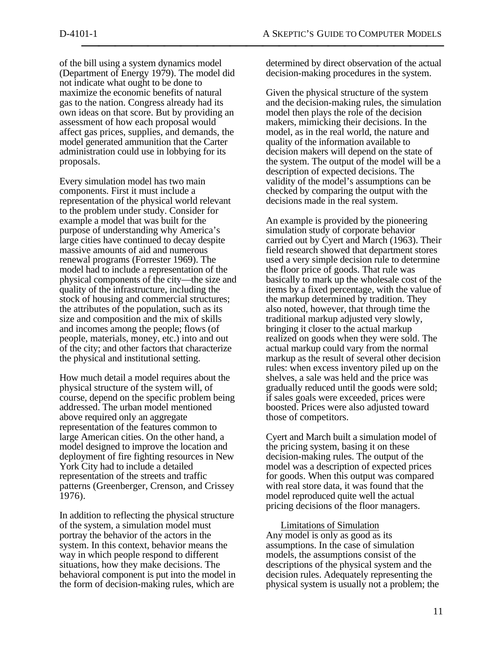of the bill using a system dynamics model (Department of Energy 1979). The model did not indicate what ought to be done to maximize the economic benefits of natural gas to the nation. Congress already had its own ideas on that score. But by providing an assessment of how each proposal would affect gas prices, supplies, and demands, the model generated ammunition that the Carter administration could use in lobbying for its proposals.

Every simulation model has two main components. First it must include a representation of the physical world relevant to the problem under study. Consider for example a model that was built for the purpose of understanding why America's large cities have continued to decay despite massive amounts of aid and numerous renewal programs (Forrester 1969). The model had to include a representation of the physical components of the city—the size and quality of the infrastructure, including the stock of housing and commercial structures; the attributes of the population, such as its size and composition and the mix of skills and incomes among the people; flows (of people, materials, money, etc.) into and out of the city; and other factors that characterize the physical and institutional setting.

How much detail a model requires about the physical structure of the system will, of course, depend on the specific problem being addressed. The urban model mentioned above required only an aggregate representation of the features common to large American cities. On the other hand, a model designed to improve the location and deployment of fire fighting resources in New York City had to include a detailed representation of the streets and traffic patterns (Greenberger, Crenson, and Crissey 1976).

In addition to reflecting the physical structure of the system, a simulation model must portray the behavior of the actors in the system. In this context, behavior means the way in which people respond to different situations, how they make decisions. The behavioral component is put into the model in the form of decision-making rules, which are

determined by direct observation of the actual decision-making procedures in the system.

Given the physical structure of the system and the decision-making rules, the simulation model then plays the role of the decision makers, mimicking their decisions. In the model, as in the real world, the nature and quality of the information available to decision makers will depend on the state of the system. The output of the model will be a description of expected decisions. The validity of the model's assumptions can be checked by comparing the output with the decisions made in the real system.

An example is provided by the pioneering simulation study of corporate behavior carried out by Cyert and March (1963). Their field research showed that department stores used a very simple decision rule to determine the floor price of goods. That rule was basically to mark up the wholesale cost of the items by a fixed percentage, with the value of the markup determined by tradition. They also noted, however, that through time the traditional markup adjusted very slowly, bringing it closer to the actual markup realized on goods when they were sold. The actual markup could vary from the normal markup as the result of several other decision rules: when excess inventory piled up on the shelves, a sale was held and the price was gradually reduced until the goods were sold; if sales goals were exceeded, prices were boosted. Prices were also adjusted toward those of competitors.

Cyert and March built a simulation model of the pricing system, basing it on these decision-making rules. The output of the model was a description of expected prices for goods. When this output was compared with real store data, it was found that the model reproduced quite well the actual pricing decisions of the floor managers.

 Limitations of Simulation Any model is only as good as its assumptions. In the case of simulation models, the assumptions consist of the descriptions of the physical system and the decision rules. Adequately representing the physical system is usually not a problem; the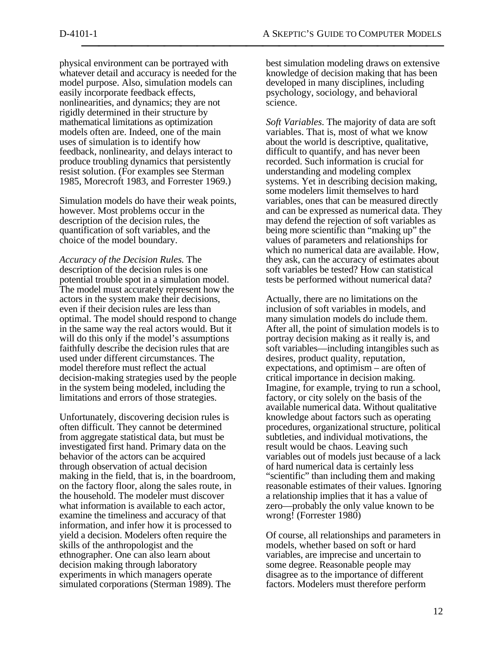physical environment can be portrayed with whatever detail and accuracy is needed for the model purpose. Also, simulation models can easily incorporate feedback effects, nonlinearities, and dynamics; they are not rigidly determined in their structure by mathematical limitations as optimization models often are. Indeed, one of the main uses of simulation is to identify how feedback, nonlinearity, and delays interact to produce troubling dynamics that persistently resist solution. (For examples see Sterman 1985, Morecroft 1983, and Forrester 1969.)

Simulation models do have their weak points, however. Most problems occur in the description of the decision rules, the quantification of soft variables, and the choice of the model boundary.

*Accuracy of the Decision Rules.* The description of the decision rules is one potential trouble spot in a simulation model. The model must accurately represent how the actors in the system make their decisions, even if their decision rules are less than optimal. The model should respond to change in the same way the real actors would. But it will do this only if the model's assumptions faithfully describe the decision rules that are used under different circumstances. The model therefore must reflect the actual decision-making strategies used by the people in the system being modeled, including the limitations and errors of those strategies.

Unfortunately, discovering decision rules is often difficult. They cannot be determined from aggregate statistical data, but must be investigated first hand. Primary data on the behavior of the actors can be acquired through observation of actual decision making in the field, that is, in the boardroom, on the factory floor, along the sales route, in the household. The modeler must discover what information is available to each actor. examine the timeliness and accuracy of that information, and infer how it is processed to yield a decision. Modelers often require the skills of the anthropologist and the ethnographer. One can also learn about decision making through laboratory experiments in which managers operate simulated corporations (Sterman 1989). The

best simulation modeling draws on extensive knowledge of decision making that has been developed in many disciplines, including psychology, sociology, and behavioral science.

*Soft Variables.* The majority of data are soft variables. That is, most of what we know about the world is descriptive, qualitative, difficult to quantify, and has never been recorded. Such information is crucial for understanding and modeling complex systems. Yet in describing decision making, some modelers limit themselves to hard variables, ones that can be measured directly and can be expressed as numerical data. They may defend the rejection of soft variables as being more scientific than "making up" the values of parameters and relationships for which no numerical data are available. How, they ask, can the accuracy of estimates about soft variables be tested? How can statistical tests be performed without numerical data?

Actually, there are no limitations on the inclusion of soft variables in models, and many simulation models do include them. After all, the point of simulation models is to portray decision making as it really is, and soft variables—including intangibles such as desires, product quality, reputation, expectations, and optimism – are often of critical importance in decision making. Imagine, for example, trying to run a school, factory, or city solely on the basis of the available numerical data. Without qualitative knowledge about factors such as operating procedures, organizational structure, political subtleties, and individual motivations, the result would be chaos. Leaving such variables out of models just because of a lack of hard numerical data is certainly less "scientific" than including them and making reasonable estimates of their values. Ignoring a relationship implies that it has a value of zero—probably the only value known to be wrong! (Forrester 1980)

Of course, all relationships and parameters in models, whether based on soft or hard variables, are imprecise and uncertain to some degree. Reasonable people may disagree as to the importance of different factors. Modelers must therefore perform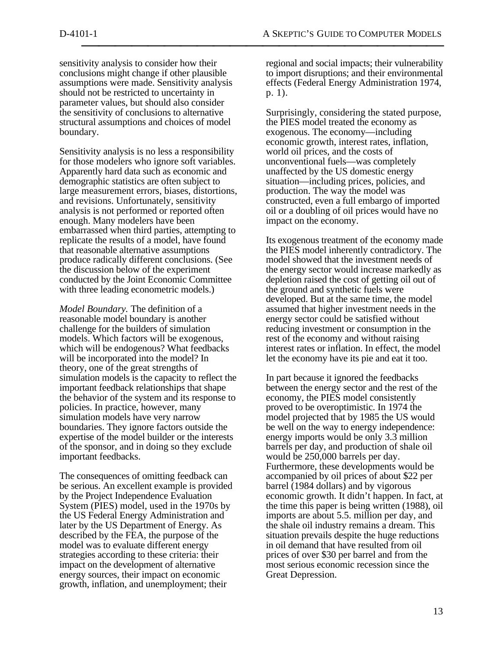sensitivity analysis to consider how their conclusions might change if other plausible assumptions were made. Sensitivity analysis should not be restricted to uncertainty in parameter values, but should also consider the sensitivity of conclusions to alternative structural assumptions and choices of model boundary.

Sensitivity analysis is no less a responsibility for those modelers who ignore soft variables. Apparently hard data such as economic and demographic statistics are often subject to large measurement errors, biases, distortions, and revisions. Unfortunately, sensitivity analysis is not performed or reported often enough. Many modelers have been embarrassed when third parties, attempting to replicate the results of a model, have found that reasonable alternative assumptions produce radically different conclusions. (See the discussion below of the experiment conducted by the Joint Economic Committee with three leading econometric models.)

*Model Boundary.* The definition of a reasonable model boundary is another challenge for the builders of simulation models. Which factors will be exogenous, which will be endogenous? What feedbacks will be incorporated into the model? In theory, one of the great strengths of simulation models is the capacity to reflect the important feedback relationships that shape the behavior of the system and its response to policies. In practice, however, many simulation models have very narrow boundaries. They ignore factors outside the expertise of the model builder or the interests of the sponsor, and in doing so they exclude important feedbacks.

The consequences of omitting feedback can be serious. An excellent example is provided by the Project Independence Evaluation System (PIES) model, used in the 1970s by the US Federal Energy Administration and later by the US Department of Energy. As described by the FEA, the purpose of the model was to evaluate different energy strategies according to these criteria: their impact on the development of alternative energy sources, their impact on economic growth, inflation, and unemployment; their

regional and social impacts; their vulnerability to import disruptions; and their environmental effects (Federal Energy Administration 1974, p. 1).

Surprisingly, considering the stated purpose, the PIES model treated the economy as exogenous. The economy—including economic growth, interest rates, inflation, world oil prices, and the costs of unconventional fuels—was completely unaffected by the US domestic energy situation—including prices, policies, and production. The way the model was constructed, even a full embargo of imported oil or a doubling of oil prices would have no impact on the economy.

Its exogenous treatment of the economy made the PIES model inherently contradictory. The model showed that the investment needs of the energy sector would increase markedly as depletion raised the cost of getting oil out of the ground and synthetic fuels were developed. But at the same time, the model assumed that higher investment needs in the energy sector could be satisfied without reducing investment or consumption in the rest of the economy and without raising interest rates or inflation. In effect, the model let the economy have its pie and eat it too.

In part because it ignored the feedbacks between the energy sector and the rest of the economy, the PIES model consistently proved to be overoptimistic. In 1974 the model projected that by 1985 the US would be well on the way to energy independence: energy imports would be only 3.3 million barrels per day, and production of shale oil would be 250,000 barrels per day. Furthermore, these developments would be accompanied by oil prices of about \$22 per barrel (1984 dollars) and by vigorous economic growth. It didn't happen. In fact, at the time this paper is being written (1988), oil imports are about 5.5. million per day, and the shale oil industry remains a dream. This situation prevails despite the huge reductions in oil demand that have resulted from oil prices of over \$30 per barrel and from the most serious economic recession since the Great Depression.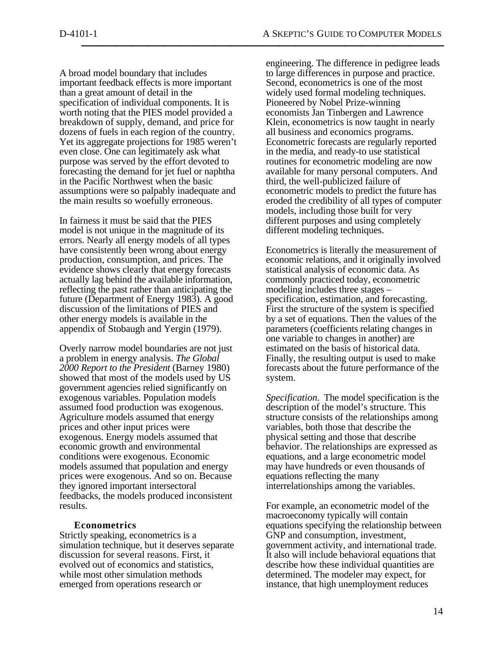A broad model boundary that includes important feedback effects is more important than a great amount of detail in the specification of individual components. It is worth noting that the PIES model provided a breakdown of supply, demand, and price for dozens of fuels in each region of the country. Yet its aggregate projections for 1985 weren't even close. One can legitimately ask what purpose was served by the effort devoted to forecasting the demand for jet fuel or naphtha in the Pacific Northwest when the basic assumptions were so palpably inadequate and the main results so woefully erroneous.

In fairness it must be said that the PIES model is not unique in the magnitude of its errors. Nearly all energy models of all types have consistently been wrong about energy production, consumption, and prices. The evidence shows clearly that energy forecasts actually lag behind the available information, reflecting the past rather than anticipating the future (Department of Energy 1983). A good discussion of the limitations of PIES and other energy models is available in the appendix of Stobaugh and Yergin (1979).

Overly narrow model boundaries are not just a problem in energy analysis. *The Global 2000 Report to the President* (Barney 1980) showed that most of the models used by US government agencies relied significantly on exogenous variables. Population models assumed food production was exogenous. Agriculture models assumed that energy prices and other input prices were exogenous. Energy models assumed that economic growth and environmental conditions were exogenous. Economic models assumed that population and energy prices were exogenous. And so on. Because they ignored important intersectoral feedbacks, the models produced inconsistent results.

## **Econometrics**

Strictly speaking, econometrics is a simulation technique, but it deserves separate discussion for several reasons. First, it evolved out of economics and statistics, while most other simulation methods emerged from operations research or

engineering. The difference in pedigree leads to large differences in purpose and practice. Second, econometrics is one of the most widely used formal modeling techniques. Pioneered by Nobel Prize-winning economists Jan Tinbergen and Lawrence Klein, econometrics is now taught in nearly all business and economics programs. Econometric forecasts are regularly reported in the media, and ready-to use statistical routines for econometric modeling are now available for many personal computers. And third, the well-publicized failure of econometric models to predict the future has eroded the credibility of all types of computer models, including those built for very different purposes and using completely different modeling techniques.

Econometrics is literally the measurement of economic relations, and it originally involved statistical analysis of economic data. As commonly practiced today, econometric modeling includes three stages – specification, estimation, and forecasting. First the structure of the system is specified by a set of equations. Then the values of the parameters (coefficients relating changes in one variable to changes in another) are estimated on the basis of historical data. Finally, the resulting output is used to make forecasts about the future performance of the system.

*Specification.* The model specification is the description of the model's structure. This structure consists of the relationships among variables, both those that describe the physical setting and those that describe behavior. The relationships are expressed as equations, and a large econometric model may have hundreds or even thousands of equations reflecting the many interrelationships among the variables.

For example, an econometric model of the macroeconomy typically will contain equations specifying the relationship between GNP and consumption, investment, government activity, and international trade. It also will include behavioral equations that describe how these individual quantities are determined. The modeler may expect, for instance, that high unemployment reduces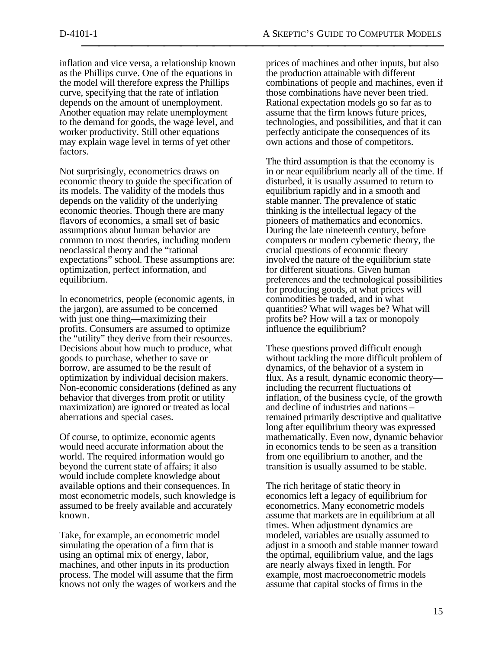inflation and vice versa, a relationship known as the Phillips curve. One of the equations in the model will therefore express the Phillips curve, specifying that the rate of inflation depends on the amount of unemployment. Another equation may relate unemployment to the demand for goods, the wage level, and worker productivity. Still other equations may explain wage level in terms of yet other factors.

Not surprisingly, econometrics draws on economic theory to guide the specification of its models. The validity of the models thus depends on the validity of the underlying economic theories. Though there are many flavors of economics, a small set of basic assumptions about human behavior are common to most theories, including modern neoclassical theory and the "rational expectations" school. These assumptions are: optimization, perfect information, and equilibrium.

In econometrics, people (economic agents, in the jargon), are assumed to be concerned with just one thing—maximizing their profits. Consumers are assumed to optimize the "utility" they derive from their resources. Decisions about how much to produce, what goods to purchase, whether to save or borrow, are assumed to be the result of optimization by individual decision makers. Non-economic considerations (defined as any behavior that diverges from profit or utility maximization) are ignored or treated as local aberrations and special cases.

Of course, to optimize, economic agents would need accurate information about the world. The required information would go beyond the current state of affairs; it also would include complete knowledge about available options and their consequences. In most econometric models, such knowledge is assumed to be freely available and accurately known.

Take, for example, an econometric model simulating the operation of a firm that is using an optimal mix of energy, labor, machines, and other inputs in its production process. The model will assume that the firm knows not only the wages of workers and the prices of machines and other inputs, but also the production attainable with different combinations of people and machines, even if those combinations have never been tried. Rational expectation models go so far as to assume that the firm knows future prices, technologies, and possibilities, and that it can perfectly anticipate the consequences of its own actions and those of competitors.

The third assumption is that the economy is in or near equilibrium nearly all of the time. If disturbed, it is usually assumed to return to equilibrium rapidly and in a smooth and stable manner. The prevalence of static thinking is the intellectual legacy of the pioneers of mathematics and economics. During the late nineteenth century, before computers or modern cybernetic theory, the crucial questions of economic theory involved the nature of the equilibrium state for different situations. Given human preferences and the technological possibilities for producing goods, at what prices will commodities be traded, and in what quantities? What will wages be? What will profits be? How will a tax or monopoly influence the equilibrium?

These questions proved difficult enough without tackling the more difficult problem of dynamics, of the behavior of a system in flux. As a result, dynamic economic theory including the recurrent fluctuations of inflation, of the business cycle, of the growth and decline of industries and nations – remained primarily descriptive and qualitative long after equilibrium theory was expressed mathematically. Even now, dynamic behavior in economics tends to be seen as a transition from one equilibrium to another, and the transition is usually assumed to be stable.

The rich heritage of static theory in economics left a legacy of equilibrium for econometrics. Many econometric models assume that markets are in equilibrium at all times. When adjustment dynamics are modeled, variables are usually assumed to adjust in a smooth and stable manner toward the optimal, equilibrium value, and the lags are nearly always fixed in length. For example, most macroeconometric models assume that capital stocks of firms in the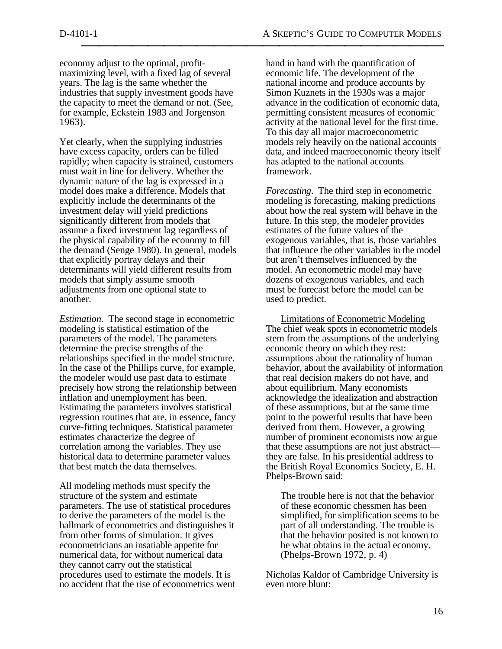economy adjust to the optimal, profitmaximizing level, with a fixed lag of several years. The lag is the same whether the industries that supply investment goods have the capacity to meet the demand or not. (See, for example, Eckstein 1983 and Jorgenson 1963).

Yet clearly, when the supplying industries have excess capacity, orders can be filled rapidly; when capacity is strained, customers must wait in line for delivery. Whether the dynamic nature of the lag is expressed in a model does make a difference. Models that explicitly include the determinants of the investment delay will yield predictions significantly different from models that assume a fixed investment lag regardless of the physical capability of the economy to fill the demand (Senge 1980). In general, models that explicitly portray delays and their determinants will yield different results from models that simply assume smooth adjustments from one optional state to another.

*Estimation.* The second stage in econometric modeling is statistical estimation of the parameters of the model. The parameters determine the precise strengths of the relationships specified in the model structure. In the case of the Phillips curve, for example, the modeler would use past data to estimate precisely how strong the relationship between inflation and unemployment has been. Estimating the parameters involves statistical regression routines that are, in essence, fancy curve-fitting techniques. Statistical parameter estimates characterize the degree of correlation among the variables. They use historical data to determine parameter values that best match the data themselves.

All modeling methods must specify the structure of the system and estimate parameters. The use of statistical procedures to derive the parameters of the model is the hallmark of econometrics and distinguishes it from other forms of simulation. It gives econometricians an insatiable appetite for numerical data, for without numerical data they cannot carry out the statistical procedures used to estimate the models. It is no accident that the rise of econometrics went hand in hand with the quantification of economic life. The development of the national income and produce accounts by Simon Kuznets in the 1930s was a major advance in the codification of economic data, permitting consistent measures of economic activity at the national level for the first time. To this day all major macroeconometric models rely heavily on the national accounts data, and indeed macroeconomic theory itself has adapted to the national accounts framework.

*Forecasting*. The third step in econometric modeling is forecasting, making predictions about how the real system will behave in the future. In this step, the modeler provides estimates of the future values of the exogenous variables, that is, those variables that influence the other variables in the model but aren't themselves influenced by the model. An econometric model may have dozens of exogenous variables, and each must be forecast before the model can be used to predict.

 Limitations of Econometric Modeling The chief weak spots in econometric models stem from the assumptions of the underlying economic theory on which they rest: assumptions about the rationality of human behavior, about the availability of information that real decision makers do not have, and about equilibrium. Many economists acknowledge the idealization and abstraction of these assumptions, but at the same time point to the powerful results that have been derived from them. However, a growing number of prominent economists now argue that these assumptions are not just abstract they are false. In his presidential address to the British Royal Economics Society, E. H. Phelps-Brown said:

The trouble here is not that the behavior of these economic chessmen has been simplified, for simplification seems to be part of all understanding. The trouble is that the behavior posited is not known to be what obtains in the actual economy. (Phelps-Brown 1972, p. 4)

Nicholas Kaldor of Cambridge University is even more blunt: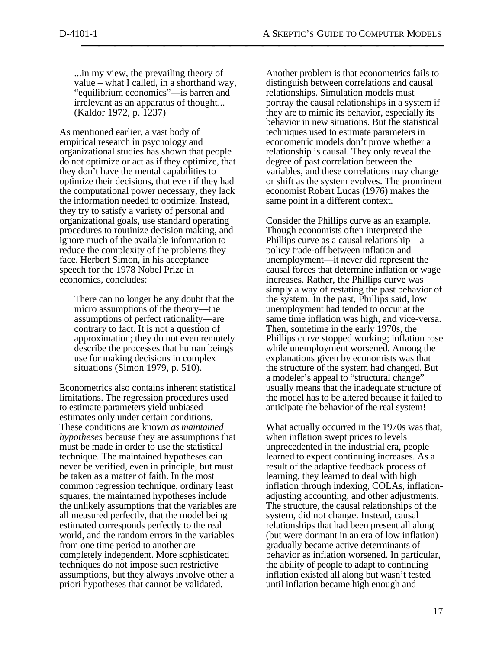...in my view, the prevailing theory of value – what I called, in a shorthand way, "equilibrium economics"—is barren and irrelevant as an apparatus of thought... (Kaldor 1972, p. 1237)

As mentioned earlier, a vast body of empirical research in psychology and organizational studies has shown that people do not optimize or act as if they optimize, that they don't have the mental capabilities to optimize their decisions, that even if they had the computational power necessary, they lack the information needed to optimize. Instead, they try to satisfy a variety of personal and organizational goals, use standard operating procedures to routinize decision making, and ignore much of the available information to reduce the complexity of the problems they face. Herbert Simon, in his acceptance speech for the 1978 Nobel Prize in economics, concludes:

There can no longer be any doubt that the micro assumptions of the theory—the assumptions of perfect rationality—are contrary to fact. It is not a question of approximation; they do not even remotely describe the processes that human beings use for making decisions in complex situations (Simon 1979, p. 510).

Econometrics also contains inherent statistical limitations. The regression procedures used to estimate parameters yield unbiased estimates only under certain conditions. These conditions are known *as maintained hypotheses* because they are assumptions that must be made in order to use the statistical technique. The maintained hypotheses can never be verified, even in principle, but must be taken as a matter of faith. In the most common regression technique, ordinary least squares, the maintained hypotheses include the unlikely assumptions that the variables are all measured perfectly, that the model being estimated corresponds perfectly to the real world, and the random errors in the variables from one time period to another are completely independent. More sophisticated techniques do not impose such restrictive assumptions, but they always involve other a priori hypotheses that cannot be validated.

Another problem is that econometrics fails to distinguish between correlations and causal relationships. Simulation models must portray the causal relationships in a system if they are to mimic its behavior, especially its behavior in new situations. But the statistical techniques used to estimate parameters in econometric models don't prove whether a relationship is causal. They only reveal the degree of past correlation between the variables, and these correlations may change or shift as the system evolves. The prominent economist Robert Lucas (1976) makes the same point in a different context.

Consider the Phillips curve as an example. Though economists often interpreted the Phillips curve as a causal relationship—a policy trade-off between inflation and unemployment—it never did represent the causal forces that determine inflation or wage increases. Rather, the Phillips curve was simply a way of restating the past behavior of the system. In the past, Phillips said, low unemployment had tended to occur at the same time inflation was high, and vice-versa. Then, sometime in the early 1970s, the Phillips curve stopped working; inflation rose while unemployment worsened. Among the explanations given by economists was that the structure of the system had changed. But a modeler's appeal to "structural change" usually means that the inadequate structure of the model has to be altered because it failed to anticipate the behavior of the real system!

What actually occurred in the 1970s was that, when inflation swept prices to levels unprecedented in the industrial era, people learned to expect continuing increases. As a result of the adaptive feedback process of learning, they learned to deal with high inflation through indexing, COLAs, inflationadjusting accounting, and other adjustments. The structure, the causal relationships of the system, did not change. Instead, causal relationships that had been present all along (but were dormant in an era of low inflation) gradually became active determinants of behavior as inflation worsened. In particular, the ability of people to adapt to continuing inflation existed all along but wasn't tested until inflation became high enough and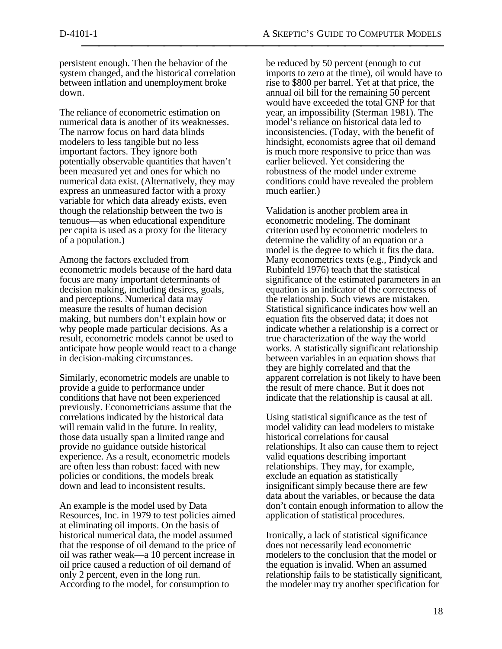persistent enough. Then the behavior of the system changed, and the historical correlation between inflation and unemployment broke down.

The reliance of econometric estimation on numerical data is another of its weaknesses. The narrow focus on hard data blinds modelers to less tangible but no less important factors. They ignore both potentially observable quantities that haven't been measured yet and ones for which no numerical data exist. (Alternatively, they may express an unmeasured factor with a proxy variable for which data already exists, even though the relationship between the two is tenuous—as when educational expenditure per capita is used as a proxy for the literacy of a population.)

Among the factors excluded from econometric models because of the hard data focus are many important determinants of decision making, including desires, goals, and perceptions. Numerical data may measure the results of human decision making, but numbers don't explain how or why people made particular decisions. As a result, econometric models cannot be used to anticipate how people would react to a change in decision-making circumstances.

Similarly, econometric models are unable to provide a guide to performance under conditions that have not been experienced previously. Econometricians assume that the correlations indicated by the historical data will remain valid in the future. In reality, those data usually span a limited range and provide no guidance outside historical experience. As a result, econometric models are often less than robust: faced with new policies or conditions, the models break down and lead to inconsistent results.

An example is the model used by Data Resources, Inc. in 1979 to test policies aimed at eliminating oil imports. On the basis of historical numerical data, the model assumed that the response of oil demand to the price of oil was rather weak—a 10 percent increase in oil price caused a reduction of oil demand of only 2 percent, even in the long run. According to the model, for consumption to

be reduced by 50 percent (enough to cut imports to zero at the time), oil would have to rise to \$800 per barrel. Yet at that price, the annual oil bill for the remaining 50 percent would have exceeded the total GNP for that year, an impossibility (Sterman 1981). The model's reliance on historical data led to inconsistencies. (Today, with the benefit of hindsight, economists agree that oil demand is much more responsive to price than was earlier believed. Yet considering the robustness of the model under extreme conditions could have revealed the problem much earlier.)

Validation is another problem area in econometric modeling. The dominant criterion used by econometric modelers to determine the validity of an equation or a model is the degree to which it fits the data. Many econometrics texts (e.g., Pindyck and Rubinfeld 1976) teach that the statistical significance of the estimated parameters in an equation is an indicator of the correctness of the relationship. Such views are mistaken. Statistical significance indicates how well an equation fits the observed data; it does not indicate whether a relationship is a correct or true characterization of the way the world works. A statistically significant relationship between variables in an equation shows that they are highly correlated and that the apparent correlation is not likely to have been the result of mere chance. But it does not indicate that the relationship is causal at all.

Using statistical significance as the test of model validity can lead modelers to mistake historical correlations for causal relationships. It also can cause them to reject valid equations describing important relationships. They may, for example, exclude an equation as statistically insignificant simply because there are few data about the variables, or because the data don't contain enough information to allow the application of statistical procedures.

Ironically, a lack of statistical significance does not necessarily lead econometric modelers to the conclusion that the model or the equation is invalid. When an assumed relationship fails to be statistically significant, the modeler may try another specification for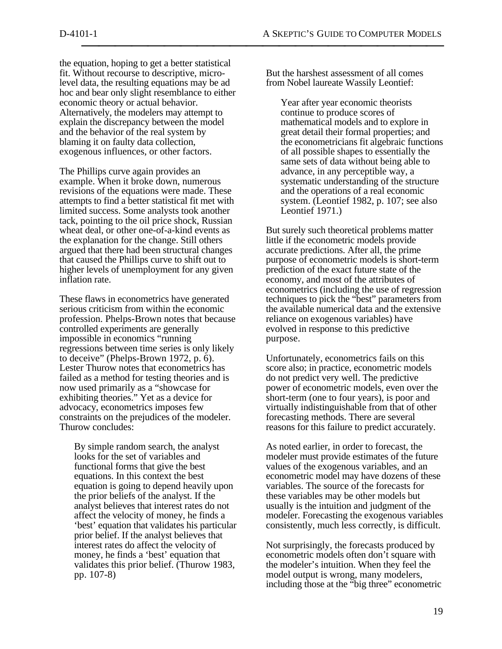the equation, hoping to get a better statistical fit. Without recourse to descriptive, microlevel data, the resulting equations may be ad hoc and bear only slight resemblance to either economic theory or actual behavior. Alternatively, the modelers may attempt to explain the discrepancy between the model and the behavior of the real system by blaming it on faulty data collection, exogenous influences, or other factors.

The Phillips curve again provides an example. When it broke down, numerous revisions of the equations were made. These attempts to find a better statistical fit met with limited success. Some analysts took another tack, pointing to the oil price shock, Russian wheat deal, or other one-of-a-kind events as the explanation for the change. Still others argued that there had been structural changes that caused the Phillips curve to shift out to higher levels of unemployment for any given inflation rate.

These flaws in econometrics have generated serious criticism from within the economic profession. Phelps-Brown notes that because controlled experiments are generally impossible in economics "running regressions between time series is only likely to deceive" (Phelps-Brown 1972, p. 6). Lester Thurow notes that econometrics has failed as a method for testing theories and is now used primarily as a "showcase for exhibiting theories." Yet as a device for advocacy, econometrics imposes few constraints on the prejudices of the modeler. Thurow concludes:

By simple random search, the analyst looks for the set of variables and functional forms that give the best equations. In this context the best equation is going to depend heavily upon the prior beliefs of the analyst. If the analyst believes that interest rates do not affect the velocity of money, he finds a 'best' equation that validates his particular prior belief. If the analyst believes that interest rates do affect the velocity of money, he finds a 'best' equation that validates this prior belief. (Thurow 1983, pp. 107-8)

But the harshest assessment of all comes from Nobel laureate Wassily Leontief:

Year after year economic theorists continue to produce scores of mathematical models and to explore in great detail their formal properties; and the econometricians fit algebraic functions of all possible shapes to essentially the same sets of data without being able to advance, in any perceptible way, a systematic understanding of the structure and the operations of a real economic system. (Leontief 1982, p. 107; see also Leontief 1971.)

But surely such theoretical problems matter little if the econometric models provide accurate predictions. After all, the prime purpose of econometric models is short-term prediction of the exact future state of the economy, and most of the attributes of econometrics (including the use of regression techniques to pick the "best" parameters from the available numerical data and the extensive reliance on exogenous variables) have evolved in response to this predictive purpose.

Unfortunately, econometrics fails on this score also; in practice, econometric models do not predict very well. The predictive power of econometric models, even over the short-term (one to four years), is poor and virtually indistinguishable from that of other forecasting methods. There are several reasons for this failure to predict accurately.

As noted earlier, in order to forecast, the modeler must provide estimates of the future values of the exogenous variables, and an econometric model may have dozens of these variables. The source of the forecasts for these variables may be other models but usually is the intuition and judgment of the modeler. Forecasting the exogenous variables consistently, much less correctly, is difficult.

Not surprisingly, the forecasts produced by econometric models often don't square with the modeler's intuition. When they feel the model output is wrong, many modelers, including those at the "big three" econometric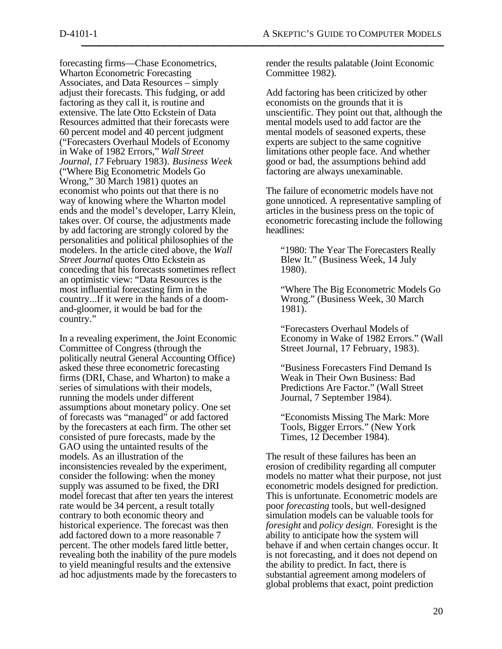forecasting firms—Chase Econometrics, Wharton Econometric Forecasting Associates, and Data Resources – simply adjust their forecasts. This fudging, or add factoring as they call it, is routine and extensive. The late Otto Eckstein of Data Resources admitted that their forecasts were 60 percent model and 40 percent judgment ("Forecasters Overhaul Models of Economy in Wake of 1982 Errors," *Wall Street Journal, 17* February 1983). *Business Week* ("Where Big Econometric Models Go Wrong," 30 March 1981) quotes an economist who points out that there is no way of knowing where the Wharton model ends and the model's developer, Larry Klein, takes over. Of course, the adjustments made by add factoring are strongly colored by the personalities and political philosophies of the modelers. In the article cited above, the *Wall Street Journal* quotes Otto Eckstein as conceding that his forecasts sometimes reflect an optimistic view: "Data Resources is the most influential forecasting firm in the country...If it were in the hands of a doomand-gloomer, it would be bad for the country."

In a revealing experiment, the Joint Economic Committee of Congress (through the politically neutral General Accounting Office) asked these three econometric forecasting firms (DRI, Chase, and Wharton) to make a series of simulations with their models, running the models under different assumptions about monetary policy. One set of forecasts was "managed" or add factored by the forecasters at each firm. The other set consisted of pure forecasts, made by the GAO using the untainted results of the models. As an illustration of the inconsistencies revealed by the experiment, consider the following: when the money supply was assumed to be fixed, the DRI model forecast that after ten years the interest rate would be 34 percent, a result totally contrary to both economic theory and historical experience. The forecast was then add factored down to a more reasonable 7 percent. The other models fared little better, revealing both the inability of the pure models to yield meaningful results and the extensive ad hoc adjustments made by the forecasters to render the results palatable (Joint Economic Committee 1982).

Add factoring has been criticized by other economists on the grounds that it is unscientific. They point out that, although the mental models used to add factor are the mental models of seasoned experts, these experts are subject to the same cognitive limitations other people face. And whether good or bad, the assumptions behind add factoring are always unexaminable.

The failure of econometric models have not gone unnoticed. A representative sampling of articles in the business press on the topic of econometric forecasting include the following headlines:

"1980: The Year The Forecasters Really Blew It." (Business Week, 14 July 1980).

"Where The Big Econometric Models Go Wrong." (Business Week, 30 March 1981).

"Forecasters Overhaul Models of Economy in Wake of 1982 Errors." (Wall Street Journal, 17 February, 1983).

"Business Forecasters Find Demand Is Weak in Their Own Business: Bad Predictions Are Factor." (Wall Street Journal, 7 September 1984).

"Economists Missing The Mark: More Tools, Bigger Errors." (New York Times, 12 December 1984).

The result of these failures has been an erosion of credibility regarding all computer models no matter what their purpose, not just econometric models designed for prediction. This is unfortunate. Econometric models are poor *forecasting* tools, but well-designed simulation models can be valuable tools for *foresight* and *policy design.* Foresight is the ability to anticipate how the system will behave if and when certain changes occur. It is not forecasting, and it does not depend on the ability to predict. In fact, there is substantial agreement among modelers of global problems that exact, point prediction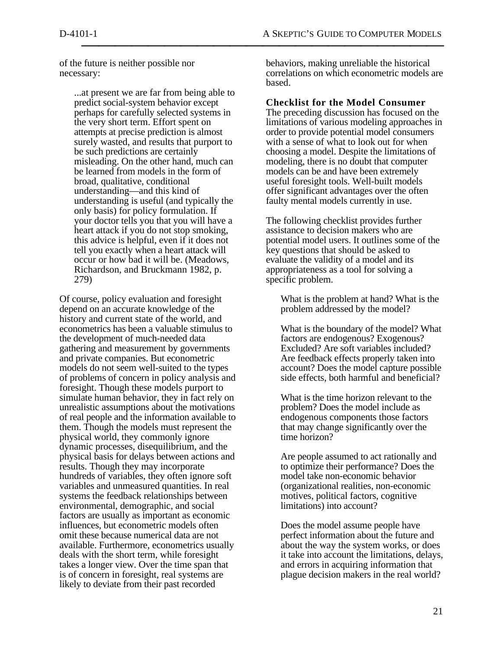of the future is neither possible nor necessary:

> ...at present we are far from being able to predict social-system behavior except perhaps for carefully selected systems in the very short term. Effort spent on attempts at precise prediction is almost surely wasted, and results that purport to be such predictions are certainly misleading. On the other hand, much can be learned from models in the form of broad, qualitative, conditional understanding—and this kind of understanding is useful (and typically the only basis) for policy formulation. If your doctor tells you that you will have a heart attack if you do not stop smoking, this advice is helpful, even if it does not tell you exactly when a heart attack will occur or how bad it will be. (Meadows, Richardson, and Bruckmann 1982, p. 279)

Of course, policy evaluation and foresight depend on an accurate knowledge of the history and current state of the world, and econometrics has been a valuable stimulus to the development of much-needed data gathering and measurement by governments and private companies. But econometric models do not seem well-suited to the types of problems of concern in policy analysis and foresight. Though these models purport to simulate human behavior, they in fact rely on unrealistic assumptions about the motivations of real people and the information available to them. Though the models must represent the physical world, they commonly ignore dynamic processes, disequilibrium, and the physical basis for delays between actions and results. Though they may incorporate hundreds of variables, they often ignore soft variables and unmeasured quantities. In real systems the feedback relationships between environmental, demographic, and social factors are usually as important as economic influences, but econometric models often omit these because numerical data are not available. Furthermore, econometrics usually deals with the short term, while foresight takes a longer view. Over the time span that is of concern in foresight, real systems are likely to deviate from their past recorded

behaviors, making unreliable the historical correlations on which econometric models are based.

#### **Checklist for the Model Consumer**

The preceding discussion has focused on the limitations of various modeling approaches in order to provide potential model consumers with a sense of what to look out for when choosing a model. Despite the limitations of modeling, there is no doubt that computer models can be and have been extremely useful foresight tools. Well-built models offer significant advantages over the often faulty mental models currently in use.

The following checklist provides further assistance to decision makers who are potential model users. It outlines some of the key questions that should be asked to evaluate the validity of a model and its appropriateness as a tool for solving a specific problem.

What is the problem at hand? What is the problem addressed by the model?

What is the boundary of the model? What factors are endogenous? Exogenous? Excluded? Are soft variables included? Are feedback effects properly taken into account? Does the model capture possible side effects, both harmful and beneficial?

What is the time horizon relevant to the problem? Does the model include as endogenous components those factors that may change significantly over the time horizon?

Are people assumed to act rationally and to optimize their performance? Does the model take non-economic behavior (organizational realities, non-economic motives, political factors, cognitive limitations) into account?

Does the model assume people have perfect information about the future and about the way the system works, or does it take into account the limitations, delays, and errors in acquiring information that plague decision makers in the real world?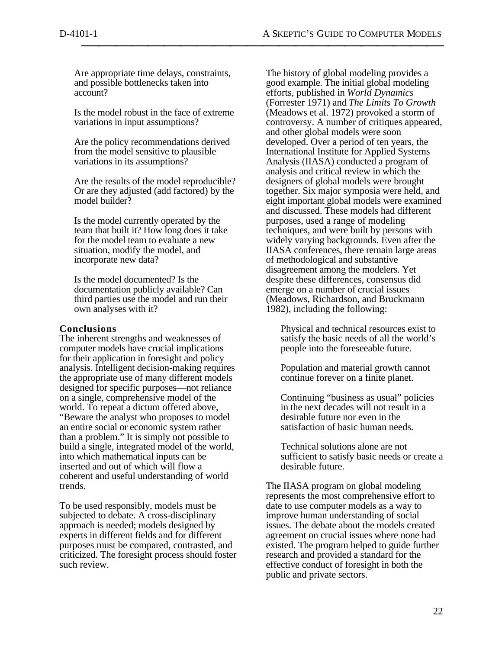Are appropriate time delays, constraints, and possible bottlenecks taken into account?

Is the model robust in the face of extreme variations in input assumptions?

Are the policy recommendations derived from the model sensitive to plausible variations in its assumptions?

Are the results of the model reproducible? Or are they adjusted (add factored) by the model builder?

Is the model currently operated by the team that built it? How long does it take for the model team to evaluate a new situation, modify the model, and incorporate new data?

Is the model documented? Is the documentation publicly available? Can third parties use the model and run their own analyses with it?

# **Conclusions**

The inherent strengths and weaknesses of computer models have crucial implications for their application in foresight and policy analysis. Intelligent decision-making requires the appropriate use of many different models designed for specific purposes—not reliance on a single, comprehensive model of the world. To repeat a dictum offered above, "Beware the analyst who proposes to model an entire social or economic system rather than a problem." It is simply not possible to build a single, integrated model of the world, into which mathematical inputs can be inserted and out of which will flow a coherent and useful understanding of world trends.

To be used responsibly, models must be subjected to debate. A cross-disciplinary approach is needed; models designed by experts in different fields and for different purposes must be compared, contrasted, and criticized. The foresight process should foster such review.

The history of global modeling provides a good example. The initial global modeling efforts, published in *World Dynamics* (Forrester 1971) and *The Limits To Growth* (Meadows et al. 1972) provoked a storm of controversy. A number of critiques appeared, and other global models were soon developed. Over a period of ten years, the International Institute for Applied Systems Analysis (IIASA) conducted a program of analysis and critical review in which the designers of global models were brought together. Six major symposia were held, and eight important global models were examined and discussed. These models had different purposes, used a range of modeling techniques, and were built by persons with widely varying backgrounds. Even after the IIASA conferences, there remain large areas of methodological and substantive disagreement among the modelers. Yet despite these differences, consensus did emerge on a number of crucial issues (Meadows, Richardson, and Bruckmann 1982), including the following:

Physical and technical resources exist to satisfy the basic needs of all the world's people into the foreseeable future.

Population and material growth cannot continue forever on a finite planet.

Continuing "business as usual" policies in the next decades will not result in a desirable future nor even in the satisfaction of basic human needs.

Technical solutions alone are not sufficient to satisfy basic needs or create a desirable future.

The IIASA program on global modeling represents the most comprehensive effort to date to use computer models as a way to improve human understanding of social issues. The debate about the models created agreement on crucial issues where none had existed. The program helped to guide further research and provided a standard for the effective conduct of foresight in both the public and private sectors.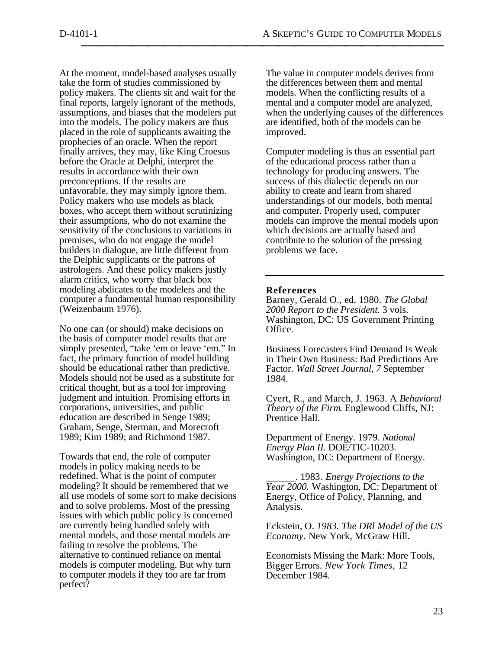At the moment, model-based analyses usually take the form of studies commissioned by policy makers. The clients sit and wait for the final reports, largely ignorant of the methods, assumptions, and biases that the modelers put into the models. The policy makers are thus placed in the role of supplicants awaiting the prophecies of an oracle. When the report finally arrives, they may, like King Croesus before the Oracle at Delphi, interpret the results in accordance with their own preconceptions. If the results are unfavorable, they may simply ignore them. Policy makers who use models as black boxes, who accept them without scrutinizing their assumptions, who do not examine the sensitivity of the conclusions to variations in premises, who do not engage the model builders in dialogue, are little different from the Delphic supplicants or the patrons of astrologers. And these policy makers justly alarm critics, who worry that black box modeling abdicates to the modelers and the computer a fundamental human responsibility (Weizenbaum 1976).

No one can (or should) make decisions on the basis of computer model results that are simply presented, "take 'em or leave 'em." In fact, the primary function of model building should be educational rather than predictive. Models should not be used as a substitute for critical thought, but as a tool for improving judgment and intuition. Promising efforts in corporations, universities, and public education are described in Senge 1989; Graham, Senge, Sterman, and Morecroft 1989; Kim 1989; and Richmond 1987.

Towards that end, the role of computer models in policy making needs to be redefined. What is the point of computer modeling? It should be remembered that we all use models of some sort to make decisions and to solve problems. Most of the pressing issues with which public policy is concerned are currently being handled solely with mental models, and those mental models are failing to resolve the problems. The alternative to continued reliance on mental models is computer modeling. But why turn to computer models if they too are far from perfect?

The value in computer models derives from the differences between them and mental models. When the conflicting results of a mental and a computer model are analyzed, when the underlying causes of the differences are identified, both of the models can be improved.

Computer modeling is thus an essential part of the educational process rather than a technology for producing answers. The success of this dialectic depends on our ability to create and learn from shared understandings of our models, both mental and computer. Properly used, computer models can improve the mental models upon which decisions are actually based and contribute to the solution of the pressing problems we face.

## **References**

Barney, Gerald O., ed. 1980. *The Global 2000 Report to the President.* 3 vols. Washington, DC: US Government Printing Office.

Business Forecasters Find Demand Is Weak in Their Own Business: Bad Predictions Are Factor. *Wall Street Journal, 7* September 1984.

Cyert, R., and March, J. 1963. A *Behavioral Theory of the Firm*. Englewood Cliffs, NJ: Prentice Hall.

Department of Energy. 1979. *National Energy Plan II.* DOE/TIC-10203. Washington, DC: Department of Energy.

 . 1983*. Energy Projections to the Year 2000.* Washington, DC: Department of Energy, Office of Policy, Planning, and Analysis.

Eckstein, O. *1983. The DRl Model of the US Economy.* New York, McGraw Hill.

Economists Missing the Mark: More Tools, Bigger Errors. *New York Times,* 12 December 1984.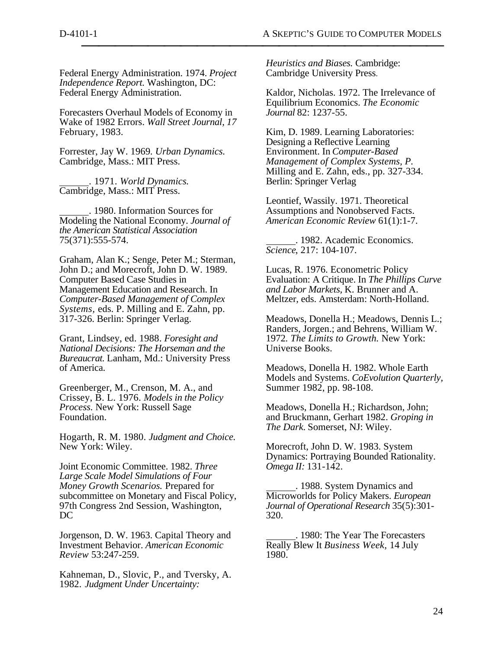Federal Energy Administration. 1974. *Project Independence Report.* Washington, DC: Federal Energy Administration.

Forecasters Overhaul Models of Economy in Wake of 1982 Errors. *Wall Street Journal, 17* February, 1983.

Forrester, Jay W. 1969*. Urban Dynamics.* Cambridge, Mass.: MIT Press.

 . 1971. *World Dynamics.* Cambridge, Mass.: MIT Press.

 . 1980. Information Sources for Modeling the National Economy. *Journal of the American Statistical Association* 75(371):555-574.

Graham, Alan K.; Senge, Peter M.; Sterman, John D.; and Morecroft, John D. W. 1989. Computer Based Case Studies in Management Education and Research. In *Computer-Based Management of Complex Systems,* eds. P. Milling and E. Zahn, pp. 317-326. Berlin: Springer Verlag.

Grant, Lindsey, ed. 1988. *Foresight and National Decisions: The Horseman and the Bureaucrat.* Lanham, Md.: University Press of America.

Greenberger, M., Crenson, M. A., and Crissey, B. L. 1976. *Models in the Policy Process.* New York: Russell Sage Foundation.

Hogarth, R. M. 1980. *Judgment and Choice.* New York: Wiley.

Joint Economic Committee. 1982. *Three Large Scale Model Simulations of Four Money Growth Scenarios.* Prepared for subcommittee on Monetary and Fiscal Policy, 97th Congress 2nd Session, Washington, DC

Jorgenson, D. W. 1963. Capital Theory and Investment Behavior. *American Economic Review* 53:247-259.

Kahneman, D., Slovic, P., and Tversky, A. 1982. *Judgment Under Uncertainty:*

*Heuristics and Biases.* Cambridge: Cambridge University Press.

Kaldor, Nicholas. 1972. The Irrelevance of Equilibrium Economics. *The Economic Journal* 82: 1237-55.

Kim, D. 1989. Learning Laboratories: Designing a Reflective Learning Environment. In *Computer-Based Management of Complex Systems, P.* Milling and E. Zahn, eds., pp. 327-334. Berlin: Springer Verlag

Leontief, Wassily. 1971. Theoretical Assumptions and Nonobserved Facts. *American Economic Review* 61(1):1-7.

 . 1982. Academic Economics. *Science*, 217: 104-107.

Lucas, R. 1976. Econometric Policy Evaluation: A Critique. In *The Phillips Curve and Labor Markets,* K. Brunner and A. Meltzer, eds. Amsterdam: North-Holland.

Meadows, Donella H.; Meadows, Dennis L.; Randers, Jorgen.; and Behrens, William W. 1972*. The Limits to Growth.* New York: Universe Books.

Meadows, Donella H. 1982. Whole Earth Models and Systems. *CoEvolution Quarterly,* Summer 1982, pp. 98-108.

Meadows, Donella H.; Richardson, John; and Bruckmann, Gerhart 1982. *Groping in The Dark.* Somerset, NJ: Wiley.

Morecroft, John D. W. 1983. System Dynamics: Portraying Bounded Rationality. *Omega II:* 131-142.

 . 1988. System Dynamics and Microworlds for Policy Makers. *European Journal of Operational Research* 35(5):301- 320.

 . 1980: The Year The Forecasters Really Blew It *Business Week,* 14 July 1980.